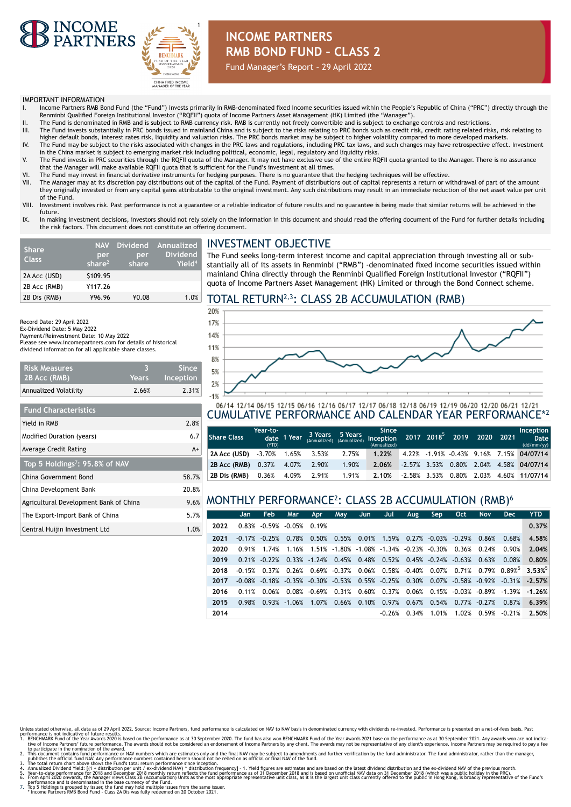



### **INCOME PARTNERS RMB BOND FUND – CLASS 2**

Fund Manager's Report – 29 April 2022

#### IMPORTANT INFORMATION

**Risk Measures 2B Acc (RMB)**

**Fund Characteristics**

**Top 5 Holdings7: 95.8% of NAV**

Record Date: 29 April 2022 Ex-Dividend Date: 5 May 2022 Payment/Reinvestment Date: 10 May 2022

- I. Income Partners RMB Bond Fund (the "Fund") invests primarily in RMB-denominated fixed income securities issued within the People's Republic of China ("PRC") directly through the Renminbi Qualified Foreign Institutional Investor ("RQFII") quota of Income Partners Asset Management (HK) Limited (the "Manager").
- II. The Fund is denominated in RMB and is subject to RMB currency risk. RMB is currently not freely convertible and is subject to exchange controls and restrictions.<br>III. The Fund invests substantially in PRC bonds
- higher default bonds, interest rates risk, liquidity and valuation risks. The PRC bonds market may be subject to higher volatility compared to more developed markets. IV. The Fund may be subject to the risks associated with changes in the PRC laws and regulations, including PRC tax laws, and such changes may have retrospective effect. Investment
- in the China market is subject to emerging market risk including political, economic, legal, regulatory and liquidity risks. V. The Fund invests in PRC securities through the RQFII quota of the Manager. It may not have exclusive use of the entire RQFII quota granted to the Manager. There is no assurance
- that the Manager will make available RQFII quota that is sufficient for the Fund's investment at all times.
- VI. The Fund may invest in financial derivative instruments for hedging purposes. There is no guarantee that the hedging techniques will be effective.
- The Manager may at its discretion pay distributions out of the capital of the Fund. Payment of distributions out of capital represents a return or withdrawal of part of the amount they originally invested or from any capital gains attributable to the original investment. Any such distributions may result in an immediate reduction of the net asset value per unit of the Fund.
- VIII. Investment involves risk. Past performance is not a guarantee or a reliable indicator of future results and no guarantee is being made that similar returns will be achieved in the future.
- IX. In making investment decisions, investors should not rely solely on the information in this document and should read the offering document of the Fund for further details including the risk factors. This document does not constitute an offering document.

| <b>Share</b><br><b>Class</b> | <b>NAV</b><br>per<br>share $2$ | per<br>share <sup>1</sup> | Dividend Annualized<br><b>Dividend</b><br>Yield <sup>4</sup> |
|------------------------------|--------------------------------|---------------------------|--------------------------------------------------------------|
| 2A Acc (USD)                 | \$109.95                       |                           |                                                              |
| 2B Acc (RMB)                 | ¥117.26                        |                           |                                                              |
| 2B Dis (RMB)                 | ¥96.96                         | ¥0.08                     | 1.0%                                                         |

Annualized Volatility 2.66% 2.31%

Yield in RMB 2.8% Modified Duration (years) 6.7 Average Credit Rating A+

China Government Bond 58.7% China Development Bank 20.8% Agricultural Development Bank of China 9.6% The Export-Import Bank of China 5.7% Central Huijin Investment Ltd 1.0%

Please see www.incomepartners.com for details of historical dividend information for all applicable share classes.

> **3 Years**

**Since Inception**

#### INVESTMENT OBJECTIVE

The Fund seeks long-term interest income and capital appreciation through investing all or substantially all of its assets in Renminbi ("RMB") -denominated fixed income securities issued within mainland China directly through the Renminbi Qualified Foreign Institutional Investor ("RQFII") quota of Income Partners Asset Management (HK) Limited or through the Bond Connect scheme.

#### TOTAL RETURN2,3: CLASS 2B ACCUMULATION (RMB)



# 06/14 12/14 06/15 12/15 06/16 12/16 06/17 12/17 06/18 12/18 06/19 12/19 06/20 12/20 06/21 12/21<br>CUMULATIVE PERFORMANCE AND CALENDAR YEAR PERFORMANCE\*2

| l Share Class                  | Year-to-<br>(YTD)     | date 1 Year |             |       | <b>Since</b><br>3 Years 5 Years Since $\frac{311}{2017}$ 2018 <sup>5</sup> 2019 2020 2021<br>(Annualized) |  |  | Inception<br>Date  <br>(dd/mm/yy)          |
|--------------------------------|-----------------------|-------------|-------------|-------|-----------------------------------------------------------------------------------------------------------|--|--|--------------------------------------------|
| 2A Acc (USD)                   | $-3.70\%$ 1.65% 3.53% |             |             | 2.75% | 1.22%                                                                                                     |  |  | 4.22% -1.91% -0.43% 9.16% 7.15% 04/07/14   |
| 2B Acc (RMB) 0.37% 4.07% 2.90% |                       |             |             | 1.90% | 2.06%                                                                                                     |  |  | $-2.57\%$ 3.53% 0.80% 2.04% 4.58% 04/07/14 |
| 2B Dis (RMB)                   | 0.36%                 |             | 4.09% 2.91% | 1.91% | 2.10%                                                                                                     |  |  | $-2.58\%$ 3.53% 0.80% 2.03% 4.60% 11/07/14 |

#### MONTHLY PERFORMANCE<sup>2</sup> : CLASS 2B ACCUMULATION (RMB)<sup>6</sup>

|      | Jan .    | <b>Feb</b>                         | Mar | <b>Apr</b> | May                                  | Jun. | Jul    | Aug                                                                                                        | Sep            | Oct | <b>Nov</b>                                                                            | <b>Dec</b>                                | <b>YTD</b>                                                                         |
|------|----------|------------------------------------|-----|------------|--------------------------------------|------|--------|------------------------------------------------------------------------------------------------------------|----------------|-----|---------------------------------------------------------------------------------------|-------------------------------------------|------------------------------------------------------------------------------------|
| 2022 |          | $0.83\%$ $-0.59\%$ $-0.05\%$ 0.19% |     |            |                                      |      |        |                                                                                                            |                |     |                                                                                       |                                           | 0.37%                                                                              |
| 2021 |          | $-0.17\%$ $-0.25\%$                |     |            |                                      |      |        |                                                                                                            |                |     | $0.78\%$ 0.50% 0.55% 0.01% 1.59% 0.27% -0.03% -0.29% 0.86% 0.68%                      |                                           | 4.58%                                                                              |
| 2020 | 0.91%    | 1.74%                              |     |            |                                      |      |        |                                                                                                            |                |     | $1.16\%$ $1.51\%$ $-1.80\%$ $-1.08\%$ $-1.34\%$ $-0.23\%$ $-0.30\%$ $0.36\%$ $0.24\%$ | 0.90%                                     | 2.04%                                                                              |
| 2019 |          |                                    |     |            |                                      |      |        | $0.21\%$ $-0.22\%$ $0.33\%$ $-1.24\%$ $0.45\%$ $0.48\%$ $0.52\%$ $0.45\%$ $-0.24\%$ $-0.63\%$              |                |     | 0.63%                                                                                 | 0.08%                                     | 0.80%                                                                              |
| 2018 | $-0.15%$ |                                    |     |            |                                      |      |        |                                                                                                            |                |     |                                                                                       |                                           | $0.37\%$ 0.26% 0.69% -0.37% 0.06% 0.58% -0.40% 0.07% 0.71% 0.79% 0.89% 3.53% 0.89% |
| 2017 |          |                                    |     |            |                                      |      |        | $-0.08\%$ $-0.18\%$ $-0.35\%$ $-0.30\%$ $-0.53\%$ $0.55\%$ $-0.25\%$ $0.30\%$ $0.07\%$ $-0.58\%$ $-0.92\%$ |                |     |                                                                                       |                                           | $-0.31\%$ $-2.57\%$                                                                |
| 2016 | 0.11%    | 0.06%                              |     |            | $0.08\%$ $-0.69\%$ $0.31\%$ $0.60\%$ |      |        |                                                                                                            |                |     |                                                                                       | $0.37\%$ 0.06% 0.15% -0.03% -0.89% -1.39% | $-1.26%$                                                                           |
| 2015 | 0.98%    |                                    |     |            | $0.93\%$ -1.06% 1.07% 0.66% 0.10%    |      |        | $0.97\%$ $0.67\%$ $0.54\%$ $0.77\%$ $-0.27\%$                                                              |                |     |                                                                                       | 0.87%                                     | 6.39%                                                                              |
| 2014 |          |                                    |     |            |                                      |      | -0.26% |                                                                                                            | $0.34\%$ 1.01% |     | 1.02% 0.59%                                                                           | $-0.21%$                                  | 2.50%                                                                              |

- 
- 
- Unless state otherwise, all data as of 29 April 2022. Source: Income Partners, fund performance is calculated on NAV to NAV basis in denominated currency with dividends re-invested. Performance is presented on a net-of-fee
- 
-